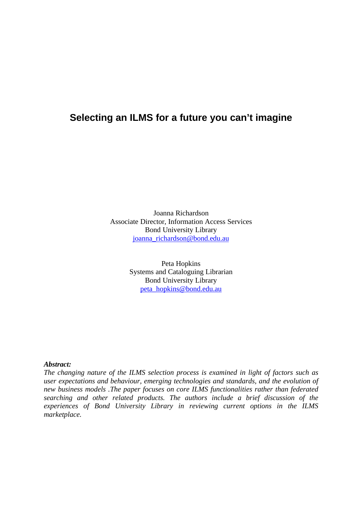## **Selecting an ILMS for a future you can't imagine**

Joanna Richardson Associate Director, Information Access Services Bond University Library joanna\_richardson@bond.edu.au

> Peta Hopkins Systems and Cataloguing Librarian Bond University Library peta\_hopkins@bond.edu.au

#### *Abstract:*

*The changing nature of the ILMS selection process is examined in light of factors such as user expectations and behaviour, emerging technologies and standards, and the evolution of new business models .The paper focuses on core ILMS functionalities rather than federated searching and other related products. The authors include a brief discussion of the experiences of Bond University Library in reviewing current options in the ILMS marketplace.*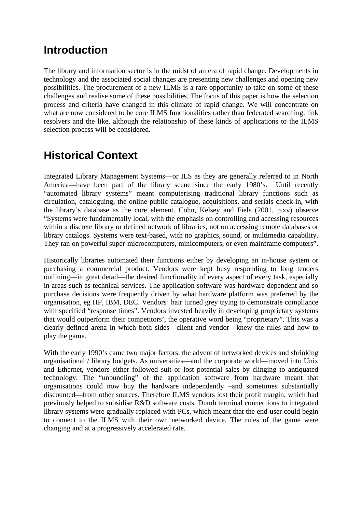## **Introduction**

The library and information sector is in the midst of an era of rapid change. Developments in technology and the associated social changes are presenting new challenges and opening new possibilities. The procurement of a new ILMS is a rare opportunity to take on some of these challenges and realise some of these possibilities. The focus of this paper is how the selection process and criteria have changed in this climate of rapid change. We will concentrate on what are now considered to be core ILMS functionalities rather than federated searching, link resolvers and the like, although the relationship of these kinds of applications to the ILMS selection process will be considered.

# **Historical Context**

Integrated Library Management Systems—or ILS as they are generally referred to in North America—have been part of the library scene since the early 1980's. Until recently "automated library systems" meant computerising traditional library functions such as circulation, cataloguing, the online public catalogue, acquisitions, and serials check-in, with the library's database as the core element. Cohn, Kelsey and Fiels (2001, p.xv) observe "Systems were fundamentally local, with the emphasis on controlling and accessing resources within a discrete library or defined network of libraries, not on accessing remote databases or library catalogs. Systems were text-based, with no graphics, sound, or multimedia capability. They ran on powerful super-microcomputers, minicomputers, or even mainframe computers".

Historically libraries automated their functions either by developing an in-house system or purchasing a commercial product. Vendors were kept busy responding to long tenders outlining—in great detail—the desired functionality of every aspect of every task, especially in areas such as technical services. The application software was hardware dependent and so purchase decisions were frequently driven by what hardware platform was preferred by the organisation, eg HP, IBM, DEC. Vendors' hair turned grey trying to demonstrate compliance with specified "response times". Vendors invested heavily in developing proprietary systems that would outperform their competitors', the operative word being "proprietary". This was a clearly defined arena in which both sides—client and vendor—knew the rules and how to play the game.

With the early 1990's came two major factors: the advent of networked devices and shrinking organisational / library budgets. As universities—and the corporate world—moved into Unix and Ethernet, vendors either followed suit or lost potential sales by clinging to antiquated technology. The "unbundling" of the application software from hardware meant that organisations could now buy the hardware independently –and sometimes substantially discounted—from other sources. Therefore ILMS vendors lost their profit margin, which had previously helped to subsidise R&D software costs. Dumb terminal connections to integrated library systems were gradually replaced with PCs, which meant that the end-user could begin to connect to the ILMS with their own networked device. The rules of the game were changing and at a progressively accelerated rate.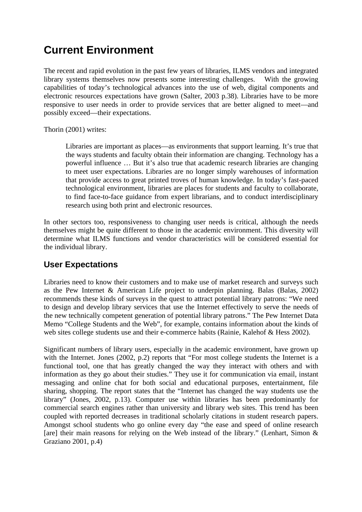# **Current Environment**

The recent and rapid evolution in the past few years of libraries, ILMS vendors and integrated library systems themselves now presents some interesting challenges. With the growing capabilities of today's technological advances into the use of web, digital components and electronic resources expectations have grown (Salter, 2003 p.38). Libraries have to be more responsive to user needs in order to provide services that are better aligned to meet—and possibly exceed—their expectations.

Thorin (2001) writes:

Libraries are important as places—as environments that support learning. It's true that the ways students and faculty obtain their information are changing. Technology has a powerful influence … But it's also true that academic research libraries are changing to meet user expectations. Libraries are no longer simply warehouses of information that provide access to great printed troves of human knowledge. In today's fast-paced technological environment, libraries are places for students and faculty to collaborate, to find face-to-face guidance from expert librarians, and to conduct interdisciplinary research using both print and electronic resources.

In other sectors too, responsiveness to changing user needs is critical, although the needs themselves might be quite different to those in the academic environment. This diversity will determine what ILMS functions and vendor characteristics will be considered essential for the individual library.

### **User Expectations**

Libraries need to know their customers and to make use of market research and surveys such as the Pew Internet & American Life project to underpin planning. Balas (Balas, 2002) recommends these kinds of surveys in the quest to attract potential library patrons: "We need to design and develop library services that use the Internet effectively to serve the needs of the new technically competent generation of potential library patrons." The Pew Internet Data Memo "College Students and the Web", for example, contains information about the kinds of web sites college students use and their e-commerce habits (Rainie, Kalehof & Hess 2002).

Significant numbers of library users, especially in the academic environment, have grown up with the Internet. Jones (2002, p.2) reports that "For most college students the Internet is a functional tool, one that has greatly changed the way they interact with others and with information as they go about their studies." They use it for communication via email, instant messaging and online chat for both social and educational purposes, entertainment, file sharing, shopping. The report states that the "Internet has changed the way students use the library" (Jones, 2002, p.13). Computer use within libraries has been predominantly for commercial search engines rather than university and library web sites. This trend has been coupled with reported decreases in traditional scholarly citations in student research papers. Amongst school students who go online every day "the ease and speed of online research [are] their main reasons for relying on the Web instead of the library." (Lenhart, Simon  $\&$ Graziano 2001, p.4)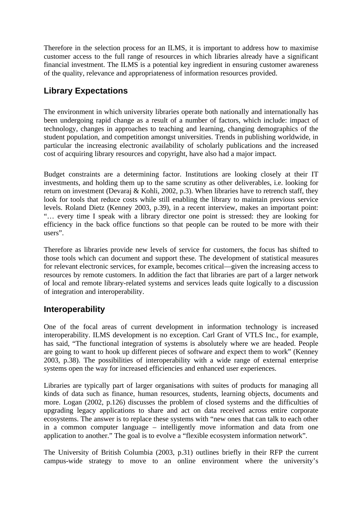Therefore in the selection process for an ILMS, it is important to address how to maximise customer access to the full range of resources in which libraries already have a significant financial investment. The ILMS is a potential key ingredient in ensuring customer awareness of the quality, relevance and appropriateness of information resources provided.

## **Library Expectations**

The environment in which university libraries operate both nationally and internationally has been undergoing rapid change as a result of a number of factors, which include: impact of technology, changes in approaches to teaching and learning, changing demographics of the student population, and competition amongst universities. Trends in publishing worldwide, in particular the increasing electronic availability of scholarly publications and the increased cost of acquiring library resources and copyright, have also had a major impact.

Budget constraints are a determining factor. Institutions are looking closely at their IT investments, and holding them up to the same scrutiny as other deliverables, i.e. looking for return on investment (Devaraj & Kohli, 2002, p.3). When libraries have to retrench staff, they look for tools that reduce costs while still enabling the library to maintain previous service levels. Roland Dietz (Kenney 2003, p.39), in a recent interview, makes an important point: "… every time I speak with a library director one point is stressed: they are looking for efficiency in the back office functions so that people can be routed to be more with their users".

Therefore as libraries provide new levels of service for customers, the focus has shifted to those tools which can document and support these. The development of statistical measures for relevant electronic services, for example, becomes critical—given the increasing access to resources by remote customers. In addition the fact that libraries are part of a larger network of local and remote library-related systems and services leads quite logically to a discussion of integration and interoperability.

### **Interoperability**

One of the focal areas of current development in information technology is increased interoperability. ILMS development is no exception. Carl Grant of VTLS Inc., for example, has said, "The functional integration of systems is absolutely where we are headed. People are going to want to hook up different pieces of software and expect them to work" (Kenney 2003, p.38). The possibilities of interoperability with a wide range of external enterprise systems open the way for increased efficiencies and enhanced user experiences.

Libraries are typically part of larger organisations with suites of products for managing all kinds of data such as finance, human resources, students, learning objects, documents and more. Logan (2002, p.126) discusses the problem of closed systems and the difficulties of upgrading legacy applications to share and act on data received across entire corporate ecosystems. The answer is to replace these systems with "new ones that can talk to each other in a common computer language – intelligently move information and data from one application to another." The goal is to evolve a "flexible ecosystem information network".

The University of British Columbia (2003, p.31) outlines briefly in their RFP the current campus-wide strategy to move to an online environment where the university's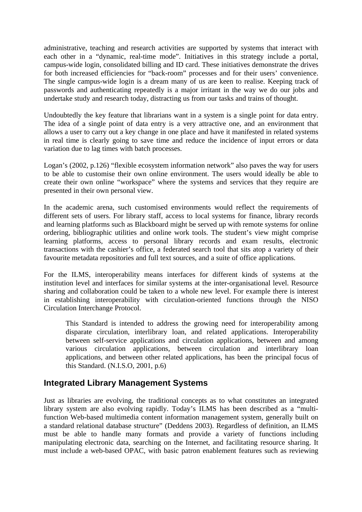administrative, teaching and research activities are supported by systems that interact with each other in a "dynamic, real-time mode". Initiatives in this strategy include a portal, campus-wide login, consolidated billing and ID card. These initiatives demonstrate the drives for both increased efficiencies for "back-room" processes and for their users' convenience. The single campus-wide login is a dream many of us are keen to realise. Keeping track of passwords and authenticating repeatedly is a major irritant in the way we do our jobs and undertake study and research today, distracting us from our tasks and trains of thought.

Undoubtedly the key feature that librarians want in a system is a single point for data entry. The idea of a single point of data entry is a very attractive one, and an environment that allows a user to carry out a key change in one place and have it manifested in related systems in real time is clearly going to save time and reduce the incidence of input errors or data variation due to lag times with batch processes.

Logan's (2002, p.126) "flexible ecosystem information network" also paves the way for users to be able to customise their own online environment. The users would ideally be able to create their own online "workspace" where the systems and services that they require are presented in their own personal view.

In the academic arena, such customised environments would reflect the requirements of different sets of users. For library staff, access to local systems for finance, library records and learning platforms such as Blackboard might be served up with remote systems for online ordering, bibliographic utilities and online work tools. The student's view might comprise learning platforms, access to personal library records and exam results, electronic transactions with the cashier's office, a federated search tool that sits atop a variety of their favourite metadata repositories and full text sources, and a suite of office applications.

For the ILMS, interoperability means interfaces for different kinds of systems at the institution level and interfaces for similar systems at the inter-organisational level. Resource sharing and collaboration could be taken to a whole new level. For example there is interest in establishing interoperability with circulation-oriented functions through the NISO Circulation Interchange Protocol.

This Standard is intended to address the growing need for interoperability among disparate circulation, interlibrary loan, and related applications. Interoperability between self-service applications and circulation applications, between and among various circulation applications, between circulation and interlibrary loan applications, and between other related applications, has been the principal focus of this Standard. (N.I.S.O, 2001, p.6)

### **Integrated Library Management Systems**

Just as libraries are evolving, the traditional concepts as to what constitutes an integrated library system are also evolving rapidly. Today's ILMS has been described as a "multifunction Web-based multimedia content information management system, generally built on a standard relational database structure" (Deddens 2003). Regardless of definition, an ILMS must be able to handle many formats and provide a variety of functions including manipulating electronic data, searching on the Internet, and facilitating resource sharing. It must include a web-based OPAC, with basic patron enablement features such as reviewing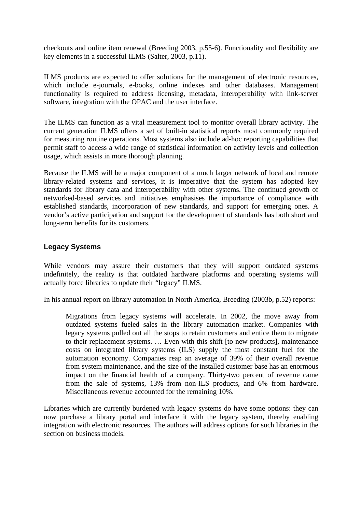checkouts and online item renewal (Breeding 2003, p.55-6). Functionality and flexibility are key elements in a successful ILMS (Salter, 2003, p.11).

ILMS products are expected to offer solutions for the management of electronic resources, which include e-journals, e-books, online indexes and other databases. Management functionality is required to address licensing, metadata, interoperability with link-server software, integration with the OPAC and the user interface.

The ILMS can function as a vital measurement tool to monitor overall library activity. The current generation ILMS offers a set of built-in statistical reports most commonly required for measuring routine operations. Most systems also include ad-hoc reporting capabilities that permit staff to access a wide range of statistical information on activity levels and collection usage, which assists in more thorough planning.

Because the ILMS will be a major component of a much larger network of local and remote library-related systems and services, it is imperative that the system has adopted key standards for library data and interoperability with other systems. The continued growth of networked-based services and initiatives emphasises the importance of compliance with established standards, incorporation of new standards, and support for emerging ones. A vendor's active participation and support for the development of standards has both short and long-term benefits for its customers.

#### **Legacy Systems**

While vendors may assure their customers that they will support outdated systems indefinitely, the reality is that outdated hardware platforms and operating systems will actually force libraries to update their "legacy" ILMS.

In his annual report on library automation in North America, Breeding (2003b, p.52) reports:

Migrations from legacy systems will accelerate. In 2002, the move away from outdated systems fueled sales in the library automation market. Companies with legacy systems pulled out all the stops to retain customers and entice them to migrate to their replacement systems. ... Even with this shift [to new products], maintenance costs on integrated library systems (ILS) supply the most constant fuel for the automation economy. Companies reap an average of 39% of their overall revenue from system maintenance, and the size of the installed customer base has an enormous impact on the financial health of a company. Thirty-two percent of revenue came from the sale of systems, 13% from non-ILS products, and 6% from hardware. Miscellaneous revenue accounted for the remaining 10%.

Libraries which are currently burdened with legacy systems do have some options: they can now purchase a library portal and interface it with the legacy system, thereby enabling integration with electronic resources. The authors will address options for such libraries in the section on business models.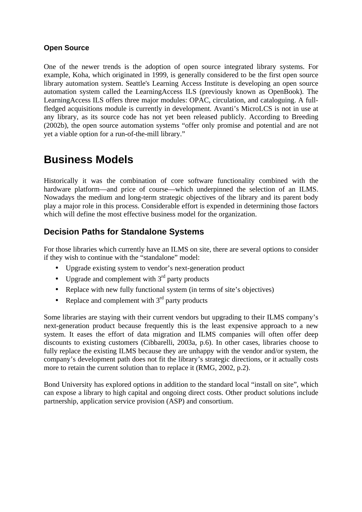#### **Open Source**

One of the newer trends is the adoption of open source integrated library systems. For example, Koha, which originated in 1999, is generally considered to be the first open source library automation system. Seattle's Learning Access Institute is developing an open source automation system called the LearningAccess ILS (previously known as OpenBook). The LearningAccess ILS offers three major modules: OPAC, circulation, and cataloguing. A fullfledged acquisitions module is currently in development. Avanti's MicroLCS is not in use at any library, as its source code has not yet been released publicly. According to Breeding (2002b), the open source automation systems "offer only promise and potential and are not yet a viable option for a run-of-the-mill library."

## **Business Models**

Historically it was the combination of core software functionality combined with the hardware platform—and price of course—which underpinned the selection of an ILMS. Nowadays the medium and long-term strategic objectives of the library and its parent body play a major role in this process. Considerable effort is expended in determining those factors which will define the most effective business model for the organization.

## **Decision Paths for Standalone Systems**

For those libraries which currently have an ILMS on site, there are several options to consider if they wish to continue with the "standalone" model:

- Upgrade existing system to vendor's next-generation product
- Upgrade and complement with  $3<sup>rd</sup>$  party products
- Replace with new fully functional system (in terms of site's objectives)
- Replace and complement with  $3<sup>rd</sup>$  party products

Some libraries are staying with their current vendors but upgrading to their ILMS company's next-generation product because frequently this is the least expensive approach to a new system. It eases the effort of data migration and ILMS companies will often offer deep discounts to existing customers (Cibbarelli, 2003a, p.6). In other cases, libraries choose to fully replace the existing ILMS because they are unhappy with the vendor and/or system, the company's development path does not fit the library's strategic directions, or it actually costs more to retain the current solution than to replace it (RMG, 2002, p.2).

Bond University has explored options in addition to the standard local "install on site", which can expose a library to high capital and ongoing direct costs. Other product solutions include partnership, application service provision (ASP) and consortium.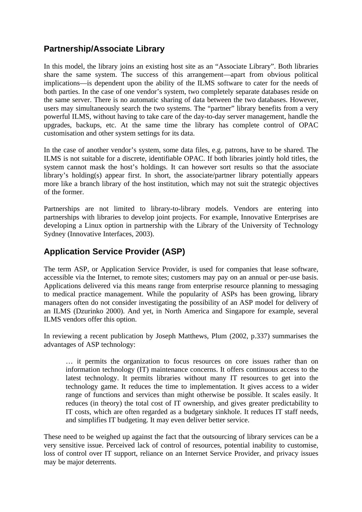## **Partnership/Associate Library**

In this model, the library joins an existing host site as an "Associate Library". Both libraries share the same system. The success of this arrangement—apart from obvious political implications—is dependent upon the ability of the ILMS software to cater for the needs of both parties. In the case of one vendor's system, two completely separate databases reside on the same server. There is no automatic sharing of data between the two databases. However, users may simultaneously search the two systems. The "partner" library benefits from a very powerful ILMS, without having to take care of the day-to-day server management, handle the upgrades, backups, etc. At the same time the library has complete control of OPAC customisation and other system settings for its data.

In the case of another vendor's system, some data files, e.g. patrons, have to be shared. The ILMS is not suitable for a discrete, identifiable OPAC. If both libraries jointly hold titles, the system cannot mask the host's holdings. It can however sort results so that the associate library's holding(s) appear first. In short, the associate/partner library potentially appears more like a branch library of the host institution, which may not suit the strategic objectives of the former.

Partnerships are not limited to library-to-library models. Vendors are entering into partnerships with libraries to develop joint projects. For example, Innovative Enterprises are developing a Linux option in partnership with the Library of the University of Technology Sydney (Innovative Interfaces, 2003).

### **Application Service Provider (ASP)**

The term ASP, or Application Service Provider, is used for companies that lease software, accessible via the Internet, to remote sites; customers may pay on an annual or per-use basis. Applications delivered via this means range from enterprise resource planning to messaging to medical practice management. While the popularity of ASPs has been growing, library managers often do not consider investigating the possibility of an ASP model for delivery of an ILMS (Dzurinko 2000). And yet, in North America and Singapore for example, several ILMS vendors offer this option.

In reviewing a recent publication by Joseph Matthews, Plum (2002, p.337) summarises the advantages of ASP technology:

… it permits the organization to focus resources on core issues rather than on information technology (IT) maintenance concerns. It offers continuous access to the latest technology. It permits libraries without many IT resources to get into the technology game. It reduces the time to implementation. It gives access to a wider range of functions and services than might otherwise be possible. It scales easily. It reduces (in theory) the total cost of IT ownership, and gives greater predictability to IT costs, which are often regarded as a budgetary sinkhole. It reduces IT staff needs, and simplifies IT budgeting. It may even deliver better service.

These need to be weighed up against the fact that the outsourcing of library services can be a very sensitive issue. Perceived lack of control of resources, potential inability to customise, loss of control over IT support, reliance on an Internet Service Provider, and privacy issues may be major deterrents.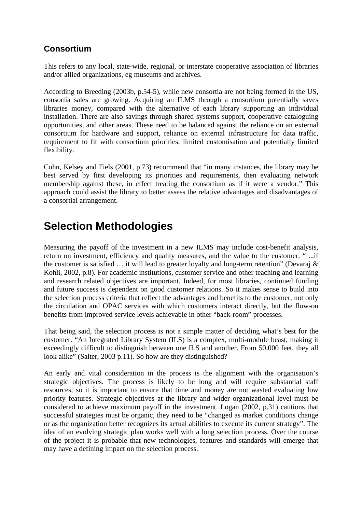## **Consortium**

This refers to any local, state-wide, regional, or interstate cooperative association of libraries and/or allied organizations, eg museums and archives.

According to Breeding (2003b, p.54-5), while new consortia are not being formed in the US, consortia sales are growing. Acquiring an ILMS through a consortium potentially saves libraries money, compared with the alternative of each library supporting an individual installation. There are also savings through shared systems support, cooperative cataloguing opportunities, and other areas. These need to be balanced against the reliance on an external consortium for hardware and support, reliance on external infrastructure for data traffic, requirement to fit with consortium priorities, limited customisation and potentially limited flexibility.

Cohn, Kelsey and Fiels (2001, p.73) recommend that "in many instances, the library may be best served by first developing its priorities and requirements, then evaluating network membership against these, in effect treating the consortium as if it were a vendor." This approach could assist the library to better assess the relative advantages and disadvantages of a consortial arrangement.

## **Selection Methodologies**

Measuring the payoff of the investment in a new ILMS may include cost-benefit analysis, return on investment, efficiency and quality measures, and the value to the customer. " ...if the customer is satisfied … it will lead to greater loyalty and long-term retention" (Devaraj & Kohli, 2002, p.8). For academic institutions, customer service and other teaching and learning and research related objectives are important. Indeed, for most libraries, continued funding and future success is dependent on good customer relations. So it makes sense to build into the selection process criteria that reflect the advantages and benefits to the customer, not only the circulation and OPAC services with which customers interact directly, but the flow-on benefits from improved service levels achievable in other "back-room" processes.

That being said, the selection process is not a simple matter of deciding what's best for the customer. "An Integrated Library System (ILS) is a complex, multi-module beast, making it exceedingly difficult to distinguish between one ILS and another. From 50,000 feet, they all look alike" (Salter, 2003 p.11). So how are they distinguished?

An early and vital consideration in the process is the alignment with the organisation's strategic objectives. The process is likely to be long and will require substantial staff resources, so it is important to ensure that time and money are not wasted evaluating low priority features. Strategic objectives at the library and wider organizational level must be considered to achieve maximum payoff in the investment. Logan (2002, p.31) cautions that successful strategies must be organic, they need to be "changed as market conditions change or as the organization better recognizes its actual abilities to execute its current strategy". The idea of an evolving strategic plan works well with a long selection process. Over the course of the project it is probable that new technologies, features and standards will emerge that may have a defining impact on the selection process.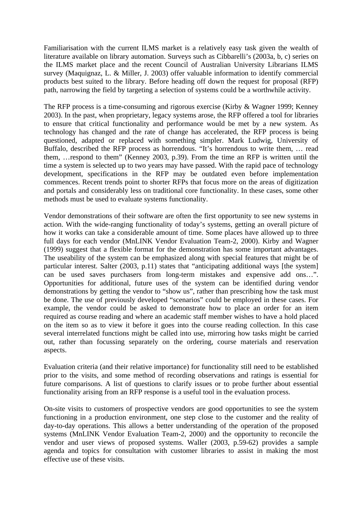Familiarisation with the current ILMS market is a relatively easy task given the wealth of literature available on library automation. Surveys such as Cibbarelli's (2003a, b, c) series on the ILMS market place and the recent Council of Australian University Librarians ILMS survey (Maquignaz, L. & Miller, J. 2003) offer valuable information to identify commercial products best suited to the library. Before heading off down the request for proposal (RFP) path, narrowing the field by targeting a selection of systems could be a worthwhile activity.

The RFP process is a time-consuming and rigorous exercise (Kirby & Wagner 1999; Kenney 2003). In the past, when proprietary, legacy systems arose, the RFP offered a tool for libraries to ensure that critical functionality and performance would be met by a new system. As technology has changed and the rate of change has accelerated, the RFP process is being questioned, adapted or replaced with something simpler. Mark Ludwig, University of Buffalo, described the RFP process as horrendous. "It's horrendous to write them, … read them, …respond to them" (Kenney 2003, p.39). From the time an RFP is written until the time a system is selected up to two years may have passed. With the rapid pace of technology development, specifications in the RFP may be outdated even before implementation commences. Recent trends point to shorter RFPs that focus more on the areas of digitization and portals and considerably less on traditional core functionality. In these cases, some other methods must be used to evaluate systems functionality.

Vendor demonstrations of their software are often the first opportunity to see new systems in action. With the wide-ranging functionality of today's systems, getting an overall picture of how it works can take a considerable amount of time. Some places have allowed up to three full days for each vendor (MnLINK Vendor Evaluation Team-2, 2000). Kirby and Wagner (1999) suggest that a flexible format for the demonstration has some important advantages. The useability of the system can be emphasized along with special features that might be of particular interest. Salter (2003, p.11) states that "anticipating additional ways [the system] can be used saves purchasers from long-term mistakes and expensive add ons…". Opportunities for additional, future uses of the system can be identified during vendor demonstrations by getting the vendor to "show us", rather than prescribing how the task must be done. The use of previously developed "scenarios" could be employed in these cases. For example, the vendor could be asked to demonstrate how to place an order for an item required as course reading and where an academic staff member wishes to have a hold placed on the item so as to view it before it goes into the course reading collection. In this case several interrelated functions might be called into use, mirroring how tasks might be carried out, rather than focussing separately on the ordering, course materials and reservation aspects.

Evaluation criteria (and their relative importance) for functionality still need to be established prior to the visits, and some method of recording observations and ratings is essential for future comparisons. A list of questions to clarify issues or to probe further about essential functionality arising from an RFP response is a useful tool in the evaluation process.

On-site visits to customers of prospective vendors are good opportunities to see the system functioning in a production environment, one step close to the customer and the reality of day-to-day operations. This allows a better understanding of the operation of the proposed systems (MnLINK Vendor Evaluation Team-2, 2000) and the opportunity to reconcile the vendor and user views of proposed systems. Waller (2003, p.59-62) provides a sample agenda and topics for consultation with customer libraries to assist in making the most effective use of these visits.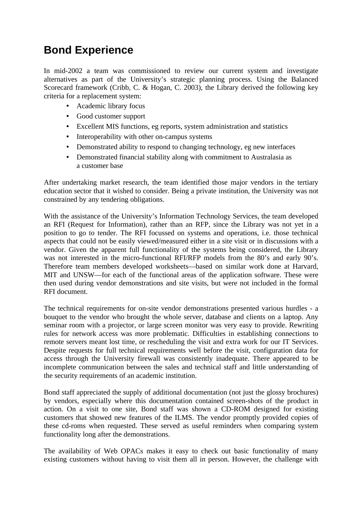# **Bond Experience**

In mid-2002 a team was commissioned to review our current system and investigate alternatives as part of the University's strategic planning process. Using the Balanced Scorecard framework (Cribb, C. & Hogan, C. 2003), the Library derived the following key criteria for a replacement system:

- Academic library focus
- Good customer support
- Excellent MIS functions, eg reports, system administration and statistics
- Interoperability with other on-campus systems
- Demonstrated ability to respond to changing technology, eg new interfaces
- Demonstrated financial stability along with commitment to Australasia as a customer base

After undertaking market research, the team identified those major vendors in the tertiary education sector that it wished to consider. Being a private institution, the University was not constrained by any tendering obligations.

With the assistance of the University's Information Technology Services, the team developed an RFI (Request for Information), rather than an RFP, since the Library was not yet in a position to go to tender. The RFI focussed on systems and operations, i.e. those technical aspects that could not be easily viewed/measured either in a site visit or in discussions with a vendor. Given the apparent full functionality of the systems being considered, the Library was not interested in the micro-functional RFI/RFP models from the 80's and early 90's. Therefore team members developed worksheets—based on similar work done at Harvard, MIT and UNSW—for each of the functional areas of the application software. These were then used during vendor demonstrations and site visits, but were not included in the formal RFI document.

The technical requirements for on-site vendor demonstrations presented various hurdles - a bouquet to the vendor who brought the whole server, database and clients on a laptop. Any seminar room with a projector, or large screen monitor was very easy to provide. Rewriting rules for network access was more problematic. Difficulties in establishing connections to remote servers meant lost time, or rescheduling the visit and extra work for our IT Services. Despite requests for full technical requirements well before the visit, configuration data for access through the University firewall was consistently inadequate. There appeared to be incomplete communication between the sales and technical staff and little understanding of the security requirements of an academic institution.

Bond staff appreciated the supply of additional documentation (not just the glossy brochures) by vendors, especially where this documentation contained screen-shots of the product in action. On a visit to one site, Bond staff was shown a CD-ROM designed for existing customers that showed new features of the ILMS. The vendor promptly provided copies of these cd-roms when requested. These served as useful reminders when comparing system functionality long after the demonstrations.

The availability of Web OPACs makes it easy to check out basic functionality of many existing customers without having to visit them all in person. However, the challenge with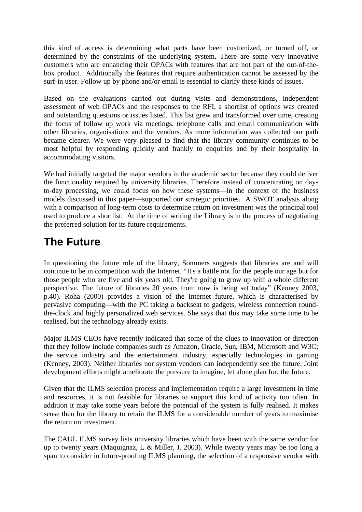this kind of access is determining what parts have been customized, or turned off, or determined by the constraints of the underlying system. There are some very innovative customers who are enhancing their OPACs with features that are not part of the out-of-thebox product. Additionally the features that require authentication cannot be assessed by the surf-in user. Follow up by phone and/or email is essential to clarify these kinds of issues.

Based on the evaluations carried out during visits and demonstrations, independent assessment of web OPACs and the responses to the RFI, a shortlist of options was created and outstanding questions or issues listed. This list grew and transformed over time, creating the focus of follow up work via meetings, telephone calls and email communication with other libraries, organisations and the vendors. As more information was collected our path became clearer. We were very pleased to find that the library community continues to be most helpful by responding quickly and frankly to enquiries and by their hospitality in accommodating visitors.

We had initially targeted the major vendors in the academic sector because they could deliver the functionality required by university libraries. Therefore instead of concentrating on dayto-day processing, we could focus on how these systems—in the context of the business models discussed in this paper—supported our strategic priorities. A SWOT analysis along with a comparison of long-term costs to determine return on investment was the principal tool used to produce a shortlist. At the time of writing the Library is in the process of negotiating the preferred solution for its future requirements.

# **The Future**

In questioning the future role of the library, Sommers suggests that libraries are and will continue to be in competition with the Internet. "It's a battle not for the people our age but for those people who are five and six years old. They're going to grow up with a whole different perspective. The future of libraries 20 years from now is being set today" (Kenney 2003, p.40). Roha (2000) provides a vision of the Internet future, which is characterised by pervasive computing—with the PC taking a backseat to gadgets, wireless connection roundthe-clock and highly personalized web services. She says that this may take some time to be realised, but the technology already exists.

Major ILMS CEOs have recently indicated that some of the clues to innovation or direction that they follow include companies such as Amazon, Oracle, Sun, IBM, Microsoft and W3C; the service industry and the entertainment industry, especially technologies in gaming (Kenney, 2003). Neither libraries nor system vendors can independently see the future. Joint development efforts might ameliorate the pressure to imagine, let alone plan for, the future.

Given that the ILMS selection process and implementation require a large investment in time and resources, it is not feasible for libraries to support this kind of activity too often. In addition it may take some years before the potential of the system is fully realised. It makes sense then for the library to retain the ILMS for a considerable number of years to maximise the return on investment.

The CAUL ILMS survey lists university libraries which have been with the same vendor for up to twenty years (Maquignaz, L & Miller, J. 2003). While twenty years may be too long a span to consider in future-proofing ILMS planning, the selection of a responsive vendor with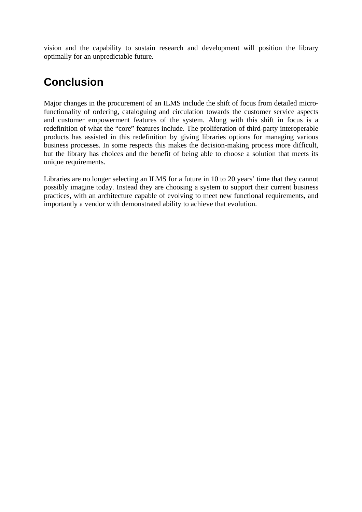vision and the capability to sustain research and development will position the library optimally for an unpredictable future.

# **Conclusion**

Major changes in the procurement of an ILMS include the shift of focus from detailed microfunctionality of ordering, cataloguing and circulation towards the customer service aspects and customer empowerment features of the system. Along with this shift in focus is a redefinition of what the "core" features include. The proliferation of third-party interoperable products has assisted in this redefinition by giving libraries options for managing various business processes. In some respects this makes the decision-making process more difficult, but the library has choices and the benefit of being able to choose a solution that meets its unique requirements.

Libraries are no longer selecting an ILMS for a future in 10 to 20 years' time that they cannot possibly imagine today. Instead they are choosing a system to support their current business practices, with an architecture capable of evolving to meet new functional requirements, and importantly a vendor with demonstrated ability to achieve that evolution.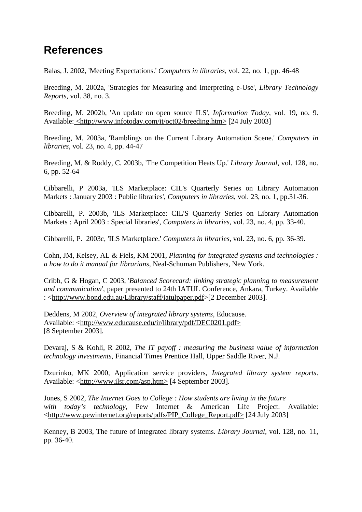## **References**

Balas, J. 2002, 'Meeting Expectations.' *Computers in libraries*, vol. 22, no. 1, pp. 46-48

Breeding, M. 2002a, 'Strategies for Measuring and Interpreting e-Use', *Library Technology Reports*, vol. 38, no. 3.

Breeding, M. 2002b, 'An update on open source ILS', *Information Today*, vol. 19, no. 9. Available: <http://www.infotoday.com/it/oct02/breeding.htm> [24 July 2003]

Breeding, M. 2003a, 'Ramblings on the Current Library Automation Scene.' *Computers in libraries*, vol. 23, no. 4, pp. 44-47

Breeding, M. & Roddy, C. 2003b, 'The Competition Heats Up.' *Library Journal*, vol. 128, no. 6, pp. 52-64

Cibbarelli, P 2003a, 'ILS Marketplace: CIL's Quarterly Series on Library Automation Markets : January 2003 : Public libraries', *Computers in libraries*, vol. 23, no. 1, pp.31-36.

Cibbarelli, P. 2003b, 'ILS Marketplace: CIL'S Quarterly Series on Library Automation Markets : April 2003 : Special libraries', *Computers in libraries*, vol. 23, no. 4, pp. 33-40.

Cibbarelli, P. 2003c, 'ILS Marketplace.' *Computers in libraries*, vol. 23, no. 6, pp. 36-39.

Cohn, JM, Kelsey, AL & Fiels, KM 2001, *Planning for integrated systems and technologies : a how to do it manual for librarians*, Neal-Schuman Publishers, New York.

Cribb, G & Hogan, C 2003, '*Balanced Scorecard: linking strategic planning to measurement and communication*', paper presented to 24th IATUL Conference, Ankara, Turkey. Available : <http://www.bond.edu.au/Library/staff/iatulpaper.pdf>[2 December 2003].

Deddens, M 2002, *Overview of integrated library systems*, Educause. Available: <http://www.educause.edu/ir/library/pdf/DEC0201.pdf> [8 September 2003].

Devaraj, S & Kohli, R 2002, *The IT payoff : measuring the business value of information technology investments*, Financial Times Prentice Hall, Upper Saddle River, N.J.

Dzurinko, MK 2000, Application service providers, *Integrated library system reports*. Available: <http://www.ilsr.com/asp.htm> [4 September 2003].

Jones, S 2002, *The Internet Goes to College : How students are living in the future with today's technology*, Pew Internet & American Life Project. Available: <http://www.pewinternet.org/reports/pdfs/PIP\_College\_Report.pdf> [24 July 2003]

Kenney, B 2003, The future of integrated library systems. *Library Journal*, vol. 128, no. 11, pp. 36-40.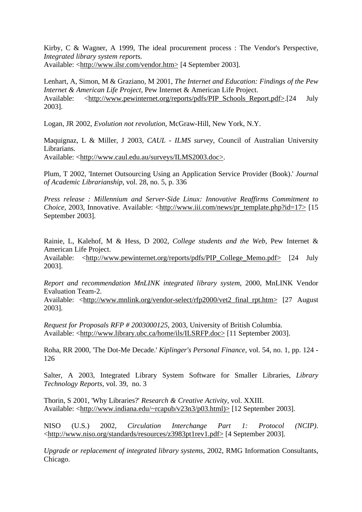Kirby, C & Wagner, A 1999, The ideal procurement process : The Vendor's Perspective, *Integrated library system report*s. Available: <http://www.ilsr.com/vendor.htm> [4 September 2003].

Lenhart, A, Simon, M & Graziano, M 2001, *The Internet and Education: Findings of the Pew Internet & American Life Project*, Pew Internet & American Life Project. Available: <http://www.pewinternet.org/reports/pdfs/PIP\_Schools\_Report.pdf>.[24 July] 2003].

Logan, JR 2002, *Evolution not revolution*, McGraw-Hill, New York, N.Y.

Maquignaz, L & Miller, J 2003, *CAUL - ILMS survey*, Council of Australian University Librarians. Available: <http://www.caul.edu.au/surveys/ILMS2003.doc>.

Plum, T 2002, 'Internet Outsourcing Using an Application Service Provider (Book).' *Journal of Academic Librarianship*, vol. 28, no. 5, p. 336

*Press release : Millennium and Server-Side Linux: Innovative Reaffirms Commitment to Choice*, 2003, Innovative. Available: <http://www.iii.com/news/pr\_template.php?id=17> [15] September 2003].

Rainie, L, Kalehof, M & Hess, D 2002, *College students and the Web*, Pew Internet & American Life Project.

Available: <http://www.pewinternet.org/reports/pdfs/PIP\_College\_Memo.pdf> [24 July 2003].

*Report and recommendation MnLINK integrated library system*, 2000, MnLINK Vendor Evaluation Team-2.

Available: <http://www.mnlink.org/vendor-select/rfp2000/vet2\_final\_rpt.htm> [27 August 2003].

*Request for Proposals RFP # 2003000125*, 2003, University of British Columbia. Available: <http://www.library.ubc.ca/home/ils/ILSRFP.doc> [11 September 2003].

Roha, RR 2000, 'The Dot-Me Decade.' *Kiplinger's Personal Finance*, vol. 54, no. 1, pp. 124 - 126

Salter, A 2003, Integrated Library System Software for Smaller Libraries, *Library Technology Reports*, vol. 39, no. 3

Thorin, S 2001, 'Why Libraries?' *Research & Creative Activity*, vol. XXIII. Available: <http://www.indiana.edu/~rcapub/v23n3/p03.html)> [12 September 2003].

NISO (U.S.) 2002, *Circulation Interchange Part 1: Protocol (NCIP)*. <http://www.niso.org/standards/resources/z3983pt1rev1.pdf> [4 September 2003].

*Upgrade or replacement of integrated library systems*, 2002, RMG Information Consultants, Chicago.